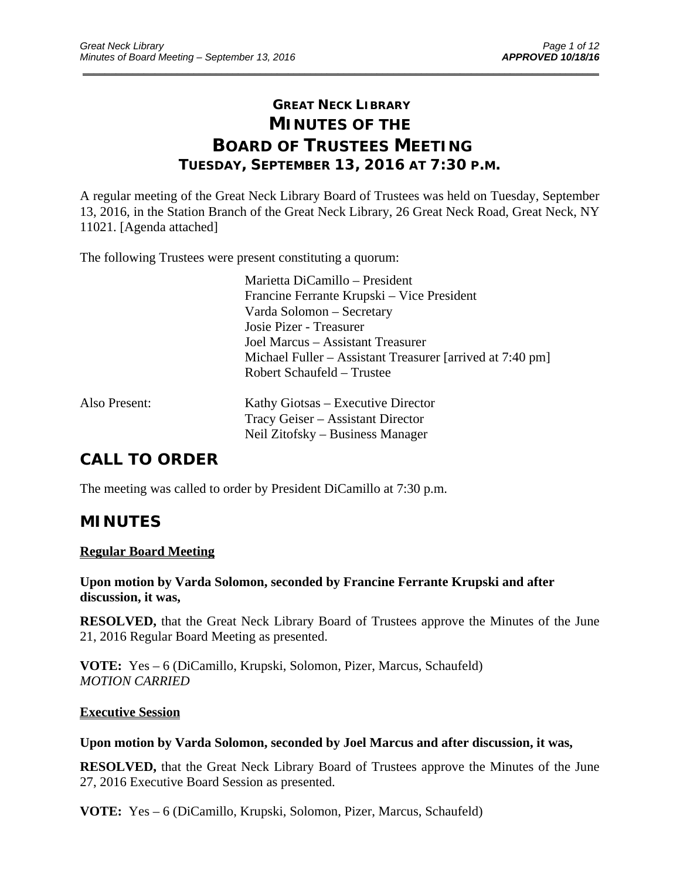# **GREAT NECK LIBRARY MINUTES OF THE BOARD OF TRUSTEES MEETING TUESDAY, SEPTEMBER 13, 2016 AT 7:30 P.M.**

\_\_\_\_\_\_\_\_\_\_\_\_\_\_\_\_\_\_\_\_\_\_\_\_\_\_\_\_\_\_\_\_\_\_\_\_\_\_\_\_\_\_\_\_\_\_\_\_\_\_\_\_\_\_\_\_\_\_\_\_\_\_\_\_\_\_\_\_\_\_\_\_\_\_\_\_\_\_\_\_\_\_\_\_\_\_\_\_\_\_\_\_\_

A regular meeting of the Great Neck Library Board of Trustees was held on Tuesday, September 13, 2016, in the Station Branch of the Great Neck Library, 26 Great Neck Road, Great Neck, NY 11021. [Agenda attached]

The following Trustees were present constituting a quorum:

|               | Marietta DiCamillo - President                            |
|---------------|-----------------------------------------------------------|
|               | Francine Ferrante Krupski – Vice President                |
|               | Varda Solomon – Secretary                                 |
|               | Josie Pizer - Treasurer                                   |
|               | Joel Marcus – Assistant Treasurer                         |
|               | Michael Fuller – Assistant Treasurer [arrived at 7:40 pm] |
|               | Robert Schaufeld – Trustee                                |
| Also Present: | Kathy Giotsas – Executive Director                        |
|               | Tracy Geiser – Assistant Director                         |
|               | Neil Zitofsky – Business Manager                          |

# **CALL TO ORDER**

The meeting was called to order by President DiCamillo at 7:30 p.m.

# **MINUTES**

### **Regular Board Meeting**

**Upon motion by Varda Solomon, seconded by Francine Ferrante Krupski and after discussion, it was,** 

**RESOLVED,** that the Great Neck Library Board of Trustees approve the Minutes of the June 21, 2016 Regular Board Meeting as presented.

**VOTE:** Yes – 6 (DiCamillo, Krupski, Solomon, Pizer, Marcus, Schaufeld) *MOTION CARRIED* 

### **Executive Session**

### **Upon motion by Varda Solomon, seconded by Joel Marcus and after discussion, it was,**

**RESOLVED,** that the Great Neck Library Board of Trustees approve the Minutes of the June 27, 2016 Executive Board Session as presented.

**VOTE:** Yes – 6 (DiCamillo, Krupski, Solomon, Pizer, Marcus, Schaufeld)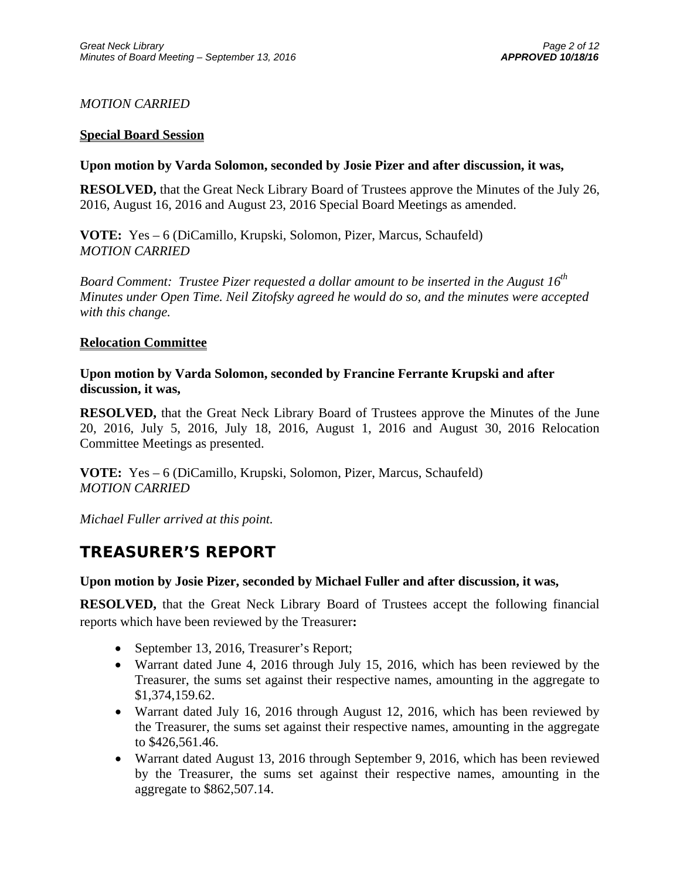# *MOTION CARRIED*

## **Special Board Session**

## **Upon motion by Varda Solomon, seconded by Josie Pizer and after discussion, it was,**

**RESOLVED,** that the Great Neck Library Board of Trustees approve the Minutes of the July 26, 2016, August 16, 2016 and August 23, 2016 Special Board Meetings as amended.

**VOTE:** Yes – 6 (DiCamillo, Krupski, Solomon, Pizer, Marcus, Schaufeld) *MOTION CARRIED* 

*Board Comment: Trustee Pizer requested a dollar amount to be inserted in the August 16th Minutes under Open Time. Neil Zitofsky agreed he would do so, and the minutes were accepted with this change.* 

## **Relocation Committee**

**Upon motion by Varda Solomon, seconded by Francine Ferrante Krupski and after discussion, it was,** 

**RESOLVED,** that the Great Neck Library Board of Trustees approve the Minutes of the June 20, 2016, July 5, 2016, July 18, 2016, August 1, 2016 and August 30, 2016 Relocation Committee Meetings as presented.

**VOTE:** Yes – 6 (DiCamillo, Krupski, Solomon, Pizer, Marcus, Schaufeld) *MOTION CARRIED* 

*Michael Fuller arrived at this point.* 

# **TREASURER'S REPORT**

# **Upon motion by Josie Pizer, seconded by Michael Fuller and after discussion, it was,**

**RESOLVED,** that the Great Neck Library Board of Trustees accept the following financial reports which have been reviewed by the Treasurer**:** 

- September 13, 2016, Treasurer's Report;
- Warrant dated June 4, 2016 through July 15, 2016, which has been reviewed by the Treasurer, the sums set against their respective names, amounting in the aggregate to \$1,374,159.62.
- Warrant dated July 16, 2016 through August 12, 2016, which has been reviewed by the Treasurer, the sums set against their respective names, amounting in the aggregate to \$426,561.46.
- Warrant dated August 13, 2016 through September 9, 2016, which has been reviewed by the Treasurer, the sums set against their respective names, amounting in the aggregate to \$862,507.14.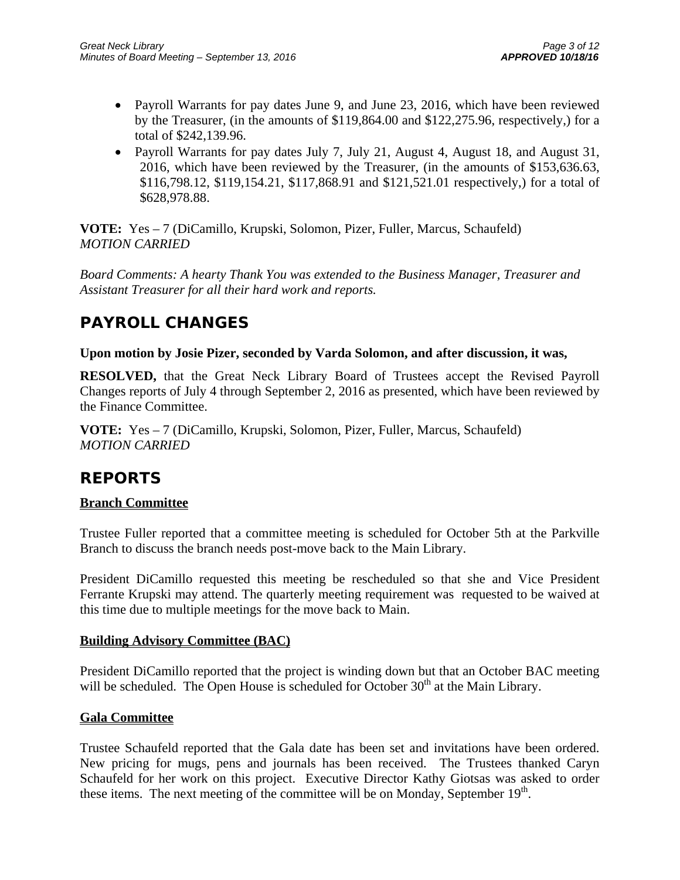- Payroll Warrants for pay dates June 9, and June 23, 2016, which have been reviewed by the Treasurer, (in the amounts of \$119,864.00 and \$122,275.96, respectively,) for a total of \$242,139.96.
- Payroll Warrants for pay dates July 7, July 21, August 4, August 18, and August 31, 2016, which have been reviewed by the Treasurer, (in the amounts of \$153,636.63, \$116,798.12, \$119,154.21, \$117,868.91 and \$121,521.01 respectively,) for a total of \$628,978.88.

**VOTE:** Yes – 7 (DiCamillo, Krupski, Solomon, Pizer, Fuller, Marcus, Schaufeld) *MOTION CARRIED* 

*Board Comments: A hearty Thank You was extended to the Business Manager, Treasurer and Assistant Treasurer for all their hard work and reports.* 

# **PAYROLL CHANGES**

## **Upon motion by Josie Pizer, seconded by Varda Solomon, and after discussion, it was,**

**RESOLVED,** that the Great Neck Library Board of Trustees accept the Revised Payroll Changes reports of July 4 through September 2, 2016 as presented, which have been reviewed by the Finance Committee.

**VOTE:** Yes – 7 (DiCamillo, Krupski, Solomon, Pizer, Fuller, Marcus, Schaufeld) *MOTION CARRIED* 

# **REPORTS**

# **Branch Committee**

Trustee Fuller reported that a committee meeting is scheduled for October 5th at the Parkville Branch to discuss the branch needs post-move back to the Main Library.

President DiCamillo requested this meeting be rescheduled so that she and Vice President Ferrante Krupski may attend. The quarterly meeting requirement was requested to be waived at this time due to multiple meetings for the move back to Main.

# **Building Advisory Committee (BAC)**

President DiCamillo reported that the project is winding down but that an October BAC meeting will be scheduled. The Open House is scheduled for October  $30<sup>th</sup>$  at the Main Library.

# **Gala Committee**

Trustee Schaufeld reported that the Gala date has been set and invitations have been ordered. New pricing for mugs, pens and journals has been received. The Trustees thanked Caryn Schaufeld for her work on this project. Executive Director Kathy Giotsas was asked to order these items. The next meeting of the committee will be on Monday, September  $19<sup>th</sup>$ .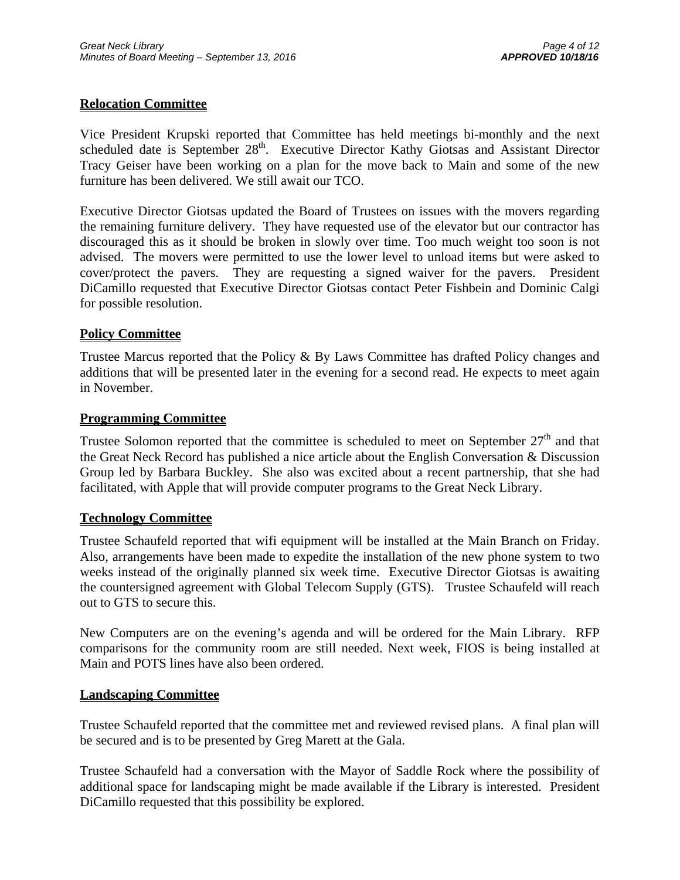## **Relocation Committee**

Vice President Krupski reported that Committee has held meetings bi-monthly and the next scheduled date is September 28<sup>th</sup>. Executive Director Kathy Giotsas and Assistant Director Tracy Geiser have been working on a plan for the move back to Main and some of the new furniture has been delivered. We still await our TCO.

Executive Director Giotsas updated the Board of Trustees on issues with the movers regarding the remaining furniture delivery. They have requested use of the elevator but our contractor has discouraged this as it should be broken in slowly over time. Too much weight too soon is not advised. The movers were permitted to use the lower level to unload items but were asked to cover/protect the pavers. They are requesting a signed waiver for the pavers. President DiCamillo requested that Executive Director Giotsas contact Peter Fishbein and Dominic Calgi for possible resolution.

## **Policy Committee**

Trustee Marcus reported that the Policy & By Laws Committee has drafted Policy changes and additions that will be presented later in the evening for a second read. He expects to meet again in November.

### **Programming Committee**

Trustee Solomon reported that the committee is scheduled to meet on September  $27<sup>th</sup>$  and that the Great Neck Record has published a nice article about the English Conversation & Discussion Group led by Barbara Buckley. She also was excited about a recent partnership, that she had facilitated, with Apple that will provide computer programs to the Great Neck Library.

### **Technology Committee**

Trustee Schaufeld reported that wifi equipment will be installed at the Main Branch on Friday. Also, arrangements have been made to expedite the installation of the new phone system to two weeks instead of the originally planned six week time. Executive Director Giotsas is awaiting the countersigned agreement with Global Telecom Supply (GTS). Trustee Schaufeld will reach out to GTS to secure this.

New Computers are on the evening's agenda and will be ordered for the Main Library. RFP comparisons for the community room are still needed. Next week, FIOS is being installed at Main and POTS lines have also been ordered.

### **Landscaping Committee**

Trustee Schaufeld reported that the committee met and reviewed revised plans. A final plan will be secured and is to be presented by Greg Marett at the Gala.

Trustee Schaufeld had a conversation with the Mayor of Saddle Rock where the possibility of additional space for landscaping might be made available if the Library is interested. President DiCamillo requested that this possibility be explored.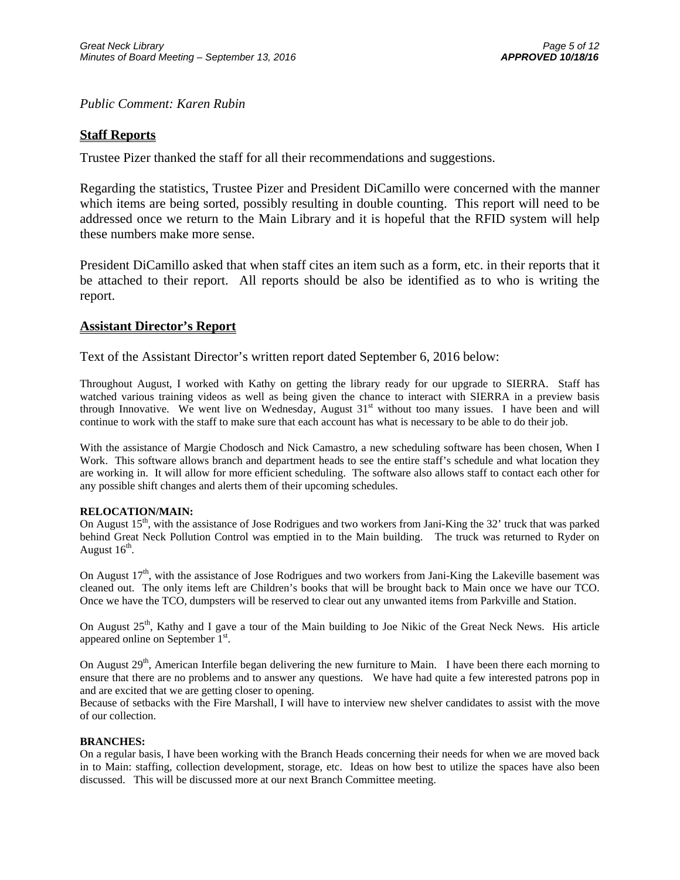*Public Comment: Karen Rubin* 

## **Staff Reports**

Trustee Pizer thanked the staff for all their recommendations and suggestions.

Regarding the statistics, Trustee Pizer and President DiCamillo were concerned with the manner which items are being sorted, possibly resulting in double counting. This report will need to be addressed once we return to the Main Library and it is hopeful that the RFID system will help these numbers make more sense.

President DiCamillo asked that when staff cites an item such as a form, etc. in their reports that it be attached to their report. All reports should be also be identified as to who is writing the report.

### **Assistant Director's Report**

Text of the Assistant Director's written report dated September 6, 2016 below:

Throughout August, I worked with Kathy on getting the library ready for our upgrade to SIERRA. Staff has watched various training videos as well as being given the chance to interact with SIERRA in a preview basis through Innovative. We went live on Wednesday, August 31<sup>st</sup> without too many issues. I have been and will continue to work with the staff to make sure that each account has what is necessary to be able to do their job.

With the assistance of Margie Chodosch and Nick Camastro, a new scheduling software has been chosen, When I Work. This software allows branch and department heads to see the entire staff's schedule and what location they are working in. It will allow for more efficient scheduling. The software also allows staff to contact each other for any possible shift changes and alerts them of their upcoming schedules.

#### **RELOCATION/MAIN:**

On August  $15<sup>th</sup>$ , with the assistance of Jose Rodrigues and two workers from Jani-King the 32' truck that was parked behind Great Neck Pollution Control was emptied in to the Main building. The truck was returned to Ryder on August  $16^{th}$ .

On August  $17<sup>th</sup>$ , with the assistance of Jose Rodrigues and two workers from Jani-King the Lakeville basement was cleaned out. The only items left are Children's books that will be brought back to Main once we have our TCO. Once we have the TCO, dumpsters will be reserved to clear out any unwanted items from Parkville and Station.

On August  $25<sup>th</sup>$ , Kathy and I gave a tour of the Main building to Joe Nikic of the Great Neck News. His article appeared online on September 1<sup>st</sup>.

On August 29<sup>th</sup>, American Interfile began delivering the new furniture to Main. I have been there each morning to ensure that there are no problems and to answer any questions. We have had quite a few interested patrons pop in and are excited that we are getting closer to opening.

Because of setbacks with the Fire Marshall, I will have to interview new shelver candidates to assist with the move of our collection.

#### **BRANCHES:**

On a regular basis, I have been working with the Branch Heads concerning their needs for when we are moved back in to Main: staffing, collection development, storage, etc. Ideas on how best to utilize the spaces have also been discussed. This will be discussed more at our next Branch Committee meeting.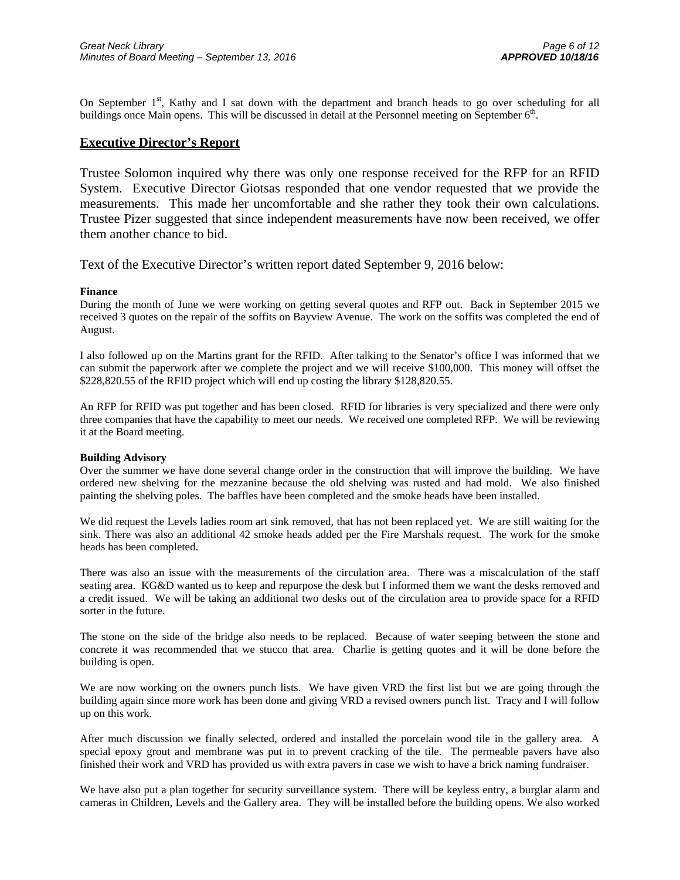On September  $1<sup>st</sup>$ , Kathy and I sat down with the department and branch heads to go over scheduling for all buildings once Main opens. This will be discussed in detail at the Personnel meeting on September  $6<sup>th</sup>$ .

### **Executive Director's Report**

Trustee Solomon inquired why there was only one response received for the RFP for an RFID System. Executive Director Giotsas responded that one vendor requested that we provide the measurements. This made her uncomfortable and she rather they took their own calculations. Trustee Pizer suggested that since independent measurements have now been received, we offer them another chance to bid.

Text of the Executive Director's written report dated September 9, 2016 below:

#### **Finance**

During the month of June we were working on getting several quotes and RFP out. Back in September 2015 we received 3 quotes on the repair of the soffits on Bayview Avenue. The work on the soffits was completed the end of August.

I also followed up on the Martins grant for the RFID. After talking to the Senator's office I was informed that we can submit the paperwork after we complete the project and we will receive \$100,000. This money will offset the \$228,820.55 of the RFID project which will end up costing the library \$128,820.55.

An RFP for RFID was put together and has been closed. RFID for libraries is very specialized and there were only three companies that have the capability to meet our needs. We received one completed RFP. We will be reviewing it at the Board meeting.

#### **Building Advisory**

Over the summer we have done several change order in the construction that will improve the building. We have ordered new shelving for the mezzanine because the old shelving was rusted and had mold. We also finished painting the shelving poles. The baffles have been completed and the smoke heads have been installed.

We did request the Levels ladies room art sink removed, that has not been replaced yet. We are still waiting for the sink. There was also an additional 42 smoke heads added per the Fire Marshals request. The work for the smoke heads has been completed.

There was also an issue with the measurements of the circulation area. There was a miscalculation of the staff seating area. KG&D wanted us to keep and repurpose the desk but I informed them we want the desks removed and a credit issued. We will be taking an additional two desks out of the circulation area to provide space for a RFID sorter in the future.

The stone on the side of the bridge also needs to be replaced. Because of water seeping between the stone and concrete it was recommended that we stucco that area. Charlie is getting quotes and it will be done before the building is open.

We are now working on the owners punch lists. We have given VRD the first list but we are going through the building again since more work has been done and giving VRD a revised owners punch list. Tracy and I will follow up on this work.

After much discussion we finally selected, ordered and installed the porcelain wood tile in the gallery area. A special epoxy grout and membrane was put in to prevent cracking of the tile. The permeable pavers have also finished their work and VRD has provided us with extra pavers in case we wish to have a brick naming fundraiser.

We have also put a plan together for security surveillance system. There will be keyless entry, a burglar alarm and cameras in Children, Levels and the Gallery area. They will be installed before the building opens. We also worked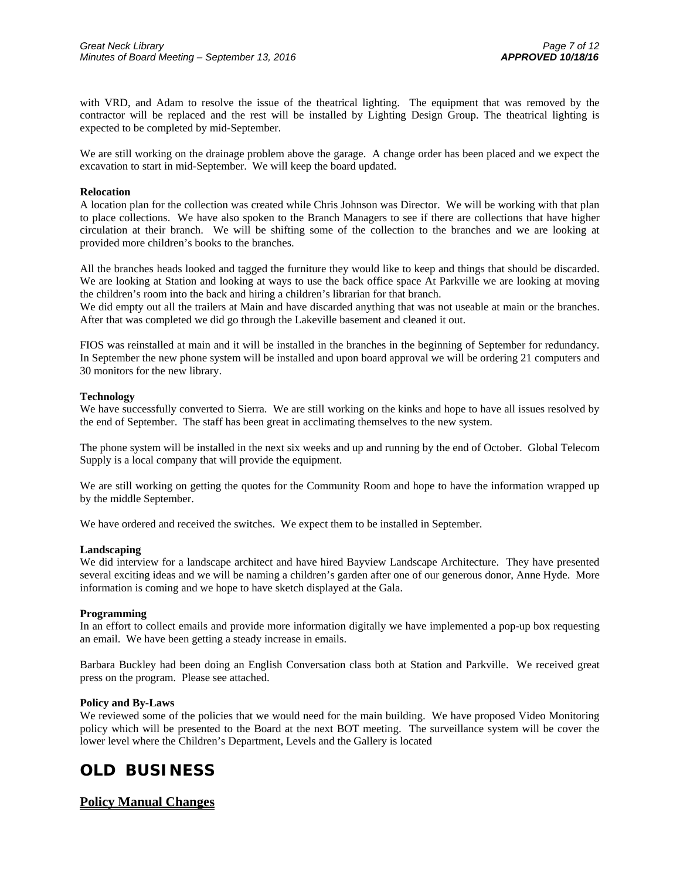with VRD, and Adam to resolve the issue of the theatrical lighting. The equipment that was removed by the contractor will be replaced and the rest will be installed by Lighting Design Group. The theatrical lighting is expected to be completed by mid-September.

We are still working on the drainage problem above the garage. A change order has been placed and we expect the excavation to start in mid-September. We will keep the board updated.

#### **Relocation**

A location plan for the collection was created while Chris Johnson was Director. We will be working with that plan to place collections. We have also spoken to the Branch Managers to see if there are collections that have higher circulation at their branch. We will be shifting some of the collection to the branches and we are looking at provided more children's books to the branches.

All the branches heads looked and tagged the furniture they would like to keep and things that should be discarded. We are looking at Station and looking at ways to use the back office space At Parkville we are looking at moving the children's room into the back and hiring a children's librarian for that branch.

We did empty out all the trailers at Main and have discarded anything that was not useable at main or the branches. After that was completed we did go through the Lakeville basement and cleaned it out.

FIOS was reinstalled at main and it will be installed in the branches in the beginning of September for redundancy. In September the new phone system will be installed and upon board approval we will be ordering 21 computers and 30 monitors for the new library.

#### **Technology**

We have successfully converted to Sierra. We are still working on the kinks and hope to have all issues resolved by the end of September. The staff has been great in acclimating themselves to the new system.

The phone system will be installed in the next six weeks and up and running by the end of October. Global Telecom Supply is a local company that will provide the equipment.

We are still working on getting the quotes for the Community Room and hope to have the information wrapped up by the middle September.

We have ordered and received the switches. We expect them to be installed in September.

#### **Landscaping**

We did interview for a landscape architect and have hired Bayview Landscape Architecture. They have presented several exciting ideas and we will be naming a children's garden after one of our generous donor, Anne Hyde. More information is coming and we hope to have sketch displayed at the Gala.

#### **Programming**

In an effort to collect emails and provide more information digitally we have implemented a pop-up box requesting an email. We have been getting a steady increase in emails.

Barbara Buckley had been doing an English Conversation class both at Station and Parkville. We received great press on the program. Please see attached.

#### **Policy and By-Laws**

We reviewed some of the policies that we would need for the main building. We have proposed Video Monitoring policy which will be presented to the Board at the next BOT meeting. The surveillance system will be cover the lower level where the Children's Department, Levels and the Gallery is located

# **OLD BUSINESS**

### **Policy Manual Changes**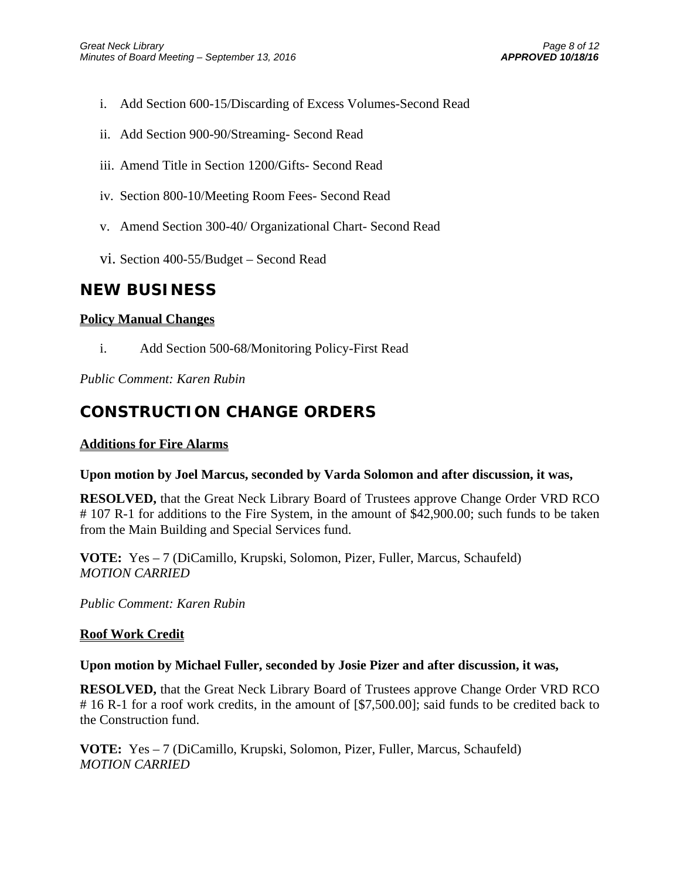- i. Add Section 600-15/Discarding of Excess Volumes-Second Read
- ii. Add Section 900-90/Streaming- Second Read
- iii. Amend Title in Section 1200/Gifts- Second Read
- iv. Section 800-10/Meeting Room Fees- Second Read
- v. Amend Section 300-40/ Organizational Chart- Second Read
- vi. Section 400-55/Budget Second Read

# **NEW BUSINESS**

# **Policy Manual Changes**

i. Add Section 500-68/Monitoring Policy-First Read

*Public Comment: Karen Rubin* 

# **CONSTRUCTION CHANGE ORDERS**

# **Additions for Fire Alarms**

# **Upon motion by Joel Marcus, seconded by Varda Solomon and after discussion, it was,**

**RESOLVED,** that the Great Neck Library Board of Trustees approve Change Order VRD RCO # 107 R-1 for additions to the Fire System, in the amount of \$42,900.00; such funds to be taken from the Main Building and Special Services fund.

**VOTE:** Yes – 7 (DiCamillo, Krupski, Solomon, Pizer, Fuller, Marcus, Schaufeld) *MOTION CARRIED* 

*Public Comment: Karen Rubin* 

# **Roof Work Credit**

# **Upon motion by Michael Fuller, seconded by Josie Pizer and after discussion, it was,**

**RESOLVED,** that the Great Neck Library Board of Trustees approve Change Order VRD RCO # 16 R-1 for a roof work credits, in the amount of [\$7,500.00]; said funds to be credited back to the Construction fund.

**VOTE:** Yes – 7 (DiCamillo, Krupski, Solomon, Pizer, Fuller, Marcus, Schaufeld) *MOTION CARRIED*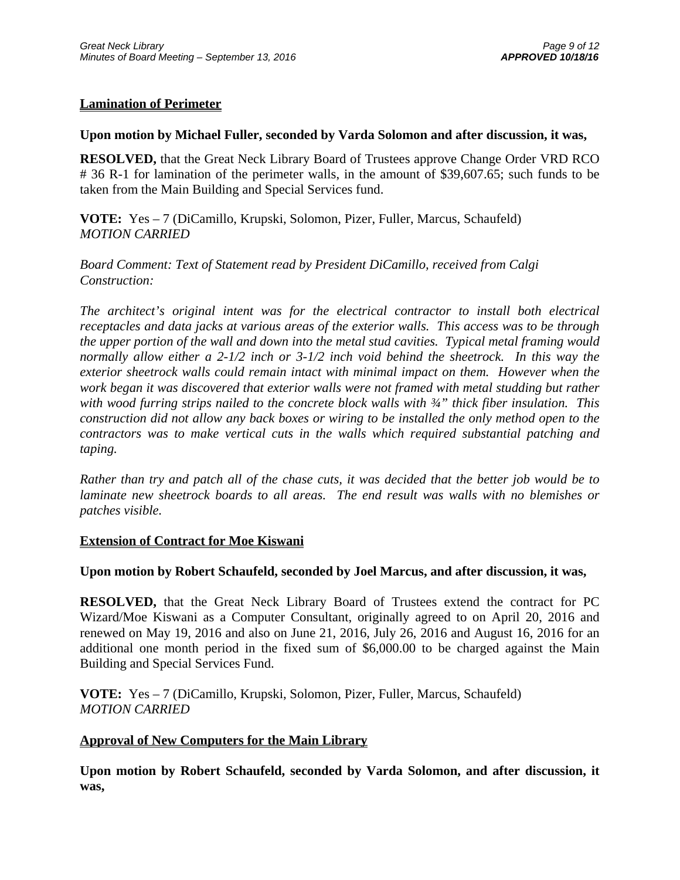## **Lamination of Perimeter**

### **Upon motion by Michael Fuller, seconded by Varda Solomon and after discussion, it was,**

**RESOLVED,** that the Great Neck Library Board of Trustees approve Change Order VRD RCO # 36 R-1 for lamination of the perimeter walls, in the amount of \$39,607.65; such funds to be taken from the Main Building and Special Services fund.

**VOTE:** Yes – 7 (DiCamillo, Krupski, Solomon, Pizer, Fuller, Marcus, Schaufeld) *MOTION CARRIED* 

*Board Comment: Text of Statement read by President DiCamillo, received from Calgi Construction:* 

*The architect's original intent was for the electrical contractor to install both electrical receptacles and data jacks at various areas of the exterior walls. This access was to be through the upper portion of the wall and down into the metal stud cavities. Typical metal framing would normally allow either a 2-1/2 inch or 3-1/2 inch void behind the sheetrock. In this way the exterior sheetrock walls could remain intact with minimal impact on them. However when the work began it was discovered that exterior walls were not framed with metal studding but rather with wood furring strips nailed to the concrete block walls with ¾" thick fiber insulation. This construction did not allow any back boxes or wiring to be installed the only method open to the contractors was to make vertical cuts in the walls which required substantial patching and taping.* 

*Rather than try and patch all of the chase cuts, it was decided that the better job would be to laminate new sheetrock boards to all areas. The end result was walls with no blemishes or patches visible.* 

### **Extension of Contract for Moe Kiswani**

### **Upon motion by Robert Schaufeld, seconded by Joel Marcus, and after discussion, it was,**

**RESOLVED,** that the Great Neck Library Board of Trustees extend the contract for PC Wizard/Moe Kiswani as a Computer Consultant, originally agreed to on April 20, 2016 and renewed on May 19, 2016 and also on June 21, 2016, July 26, 2016 and August 16, 2016 for an additional one month period in the fixed sum of \$6,000.00 to be charged against the Main Building and Special Services Fund.

**VOTE:** Yes – 7 (DiCamillo, Krupski, Solomon, Pizer, Fuller, Marcus, Schaufeld) *MOTION CARRIED* 

### **Approval of New Computers for the Main Library**

**Upon motion by Robert Schaufeld, seconded by Varda Solomon, and after discussion, it was,**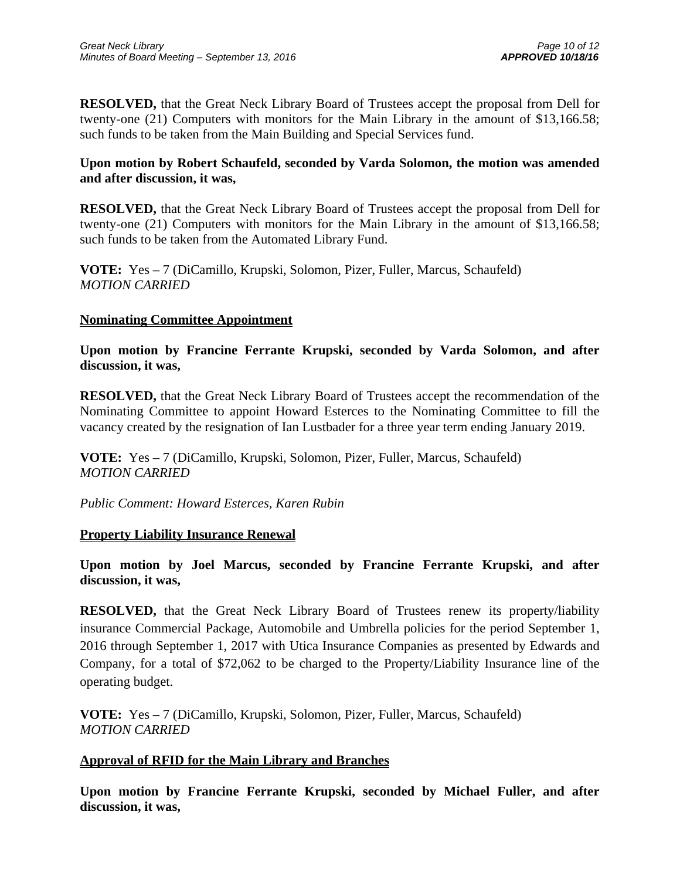**RESOLVED,** that the Great Neck Library Board of Trustees accept the proposal from Dell for twenty-one (21) Computers with monitors for the Main Library in the amount of \$13,166.58; such funds to be taken from the Main Building and Special Services fund.

## **Upon motion by Robert Schaufeld, seconded by Varda Solomon, the motion was amended and after discussion, it was,**

**RESOLVED,** that the Great Neck Library Board of Trustees accept the proposal from Dell for twenty-one (21) Computers with monitors for the Main Library in the amount of \$13,166.58; such funds to be taken from the Automated Library Fund.

**VOTE:** Yes – 7 (DiCamillo, Krupski, Solomon, Pizer, Fuller, Marcus, Schaufeld) *MOTION CARRIED* 

## **Nominating Committee Appointment**

**Upon motion by Francine Ferrante Krupski, seconded by Varda Solomon, and after discussion, it was,** 

**RESOLVED,** that the Great Neck Library Board of Trustees accept the recommendation of the Nominating Committee to appoint Howard Esterces to the Nominating Committee to fill the vacancy created by the resignation of Ian Lustbader for a three year term ending January 2019.

**VOTE:** Yes – 7 (DiCamillo, Krupski, Solomon, Pizer, Fuller, Marcus, Schaufeld) *MOTION CARRIED* 

*Public Comment: Howard Esterces, Karen Rubin* 

# **Property Liability Insurance Renewal**

**Upon motion by Joel Marcus, seconded by Francine Ferrante Krupski, and after discussion, it was,** 

**RESOLVED,** that the Great Neck Library Board of Trustees renew its property/liability insurance Commercial Package, Automobile and Umbrella policies for the period September 1, 2016 through September 1, 2017 with Utica Insurance Companies as presented by Edwards and Company, for a total of \$72,062 to be charged to the Property/Liability Insurance line of the operating budget.

**VOTE:** Yes – 7 (DiCamillo, Krupski, Solomon, Pizer, Fuller, Marcus, Schaufeld) *MOTION CARRIED* 

# **Approval of RFID for the Main Library and Branches**

**Upon motion by Francine Ferrante Krupski, seconded by Michael Fuller, and after discussion, it was,**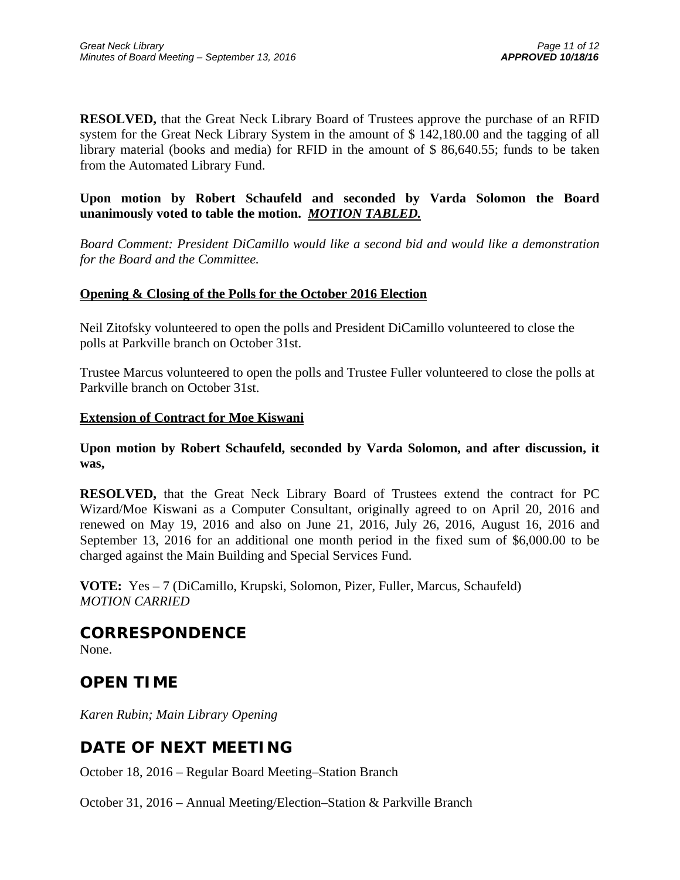**RESOLVED,** that the Great Neck Library Board of Trustees approve the purchase of an RFID system for the Great Neck Library System in the amount of \$ 142,180.00 and the tagging of all library material (books and media) for RFID in the amount of \$ 86,640.55; funds to be taken from the Automated Library Fund.

**Upon motion by Robert Schaufeld and seconded by Varda Solomon the Board unanimously voted to table the motion.** *MOTION TABLED.*

*Board Comment: President DiCamillo would like a second bid and would like a demonstration for the Board and the Committee.*

### **Opening & Closing of the Polls for the October 2016 Election**

Neil Zitofsky volunteered to open the polls and President DiCamillo volunteered to close the polls at Parkville branch on October 31st.

Trustee Marcus volunteered to open the polls and Trustee Fuller volunteered to close the polls at Parkville branch on October 31st.

### **Extension of Contract for Moe Kiswani**

**Upon motion by Robert Schaufeld, seconded by Varda Solomon, and after discussion, it was,** 

**RESOLVED,** that the Great Neck Library Board of Trustees extend the contract for PC Wizard/Moe Kiswani as a Computer Consultant, originally agreed to on April 20, 2016 and renewed on May 19, 2016 and also on June 21, 2016, July 26, 2016, August 16, 2016 and September 13, 2016 for an additional one month period in the fixed sum of \$6,000.00 to be charged against the Main Building and Special Services Fund.

**VOTE:** Yes – 7 (DiCamillo, Krupski, Solomon, Pizer, Fuller, Marcus, Schaufeld) *MOTION CARRIED* 

**CORRESPONDENCE**

None.

# **OPEN TIME**

*Karen Rubin; Main Library Opening* 

# **DATE OF NEXT MEETING**

October 18, 2016 – Regular Board Meeting–Station Branch

October 31, 2016 – Annual Meeting/Election–Station & Parkville Branch